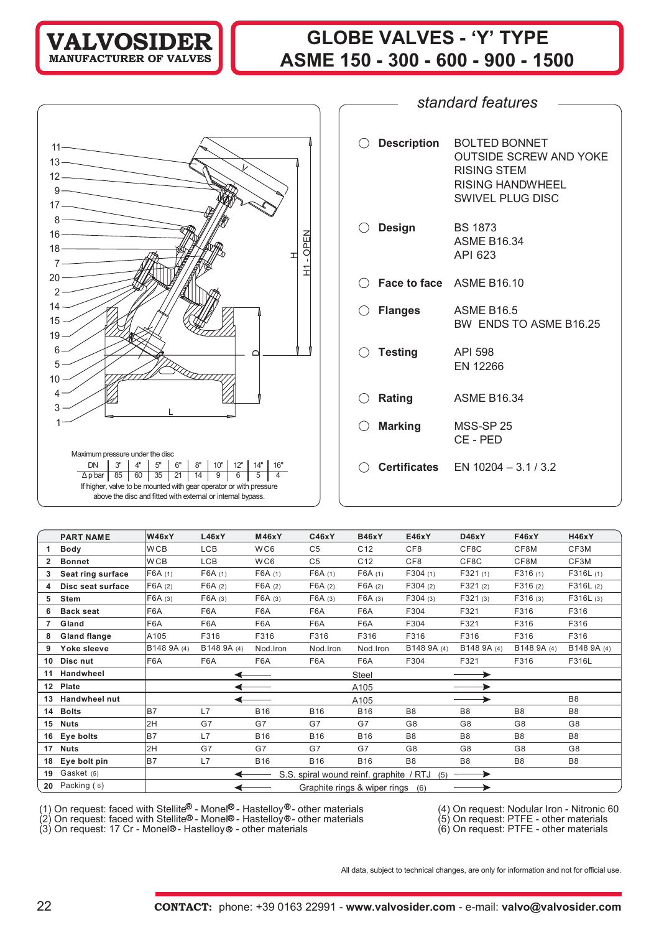## **GLOBE VALVES - 'Y' TYPE ASME 150 - 300 - 600 - 900 - 1500**

| $11 -$                                                                                                                                                                                                                                                                                                                                                                                                                                |
|---------------------------------------------------------------------------------------------------------------------------------------------------------------------------------------------------------------------------------------------------------------------------------------------------------------------------------------------------------------------------------------------------------------------------------------|
| $\begin{picture}(20,20) \put(0,0){\dashbox{0.5}(5,0){ }} \thicklines \put(0,0){\dashbox{0.5}(5,0){ }} \thicklines \put(0,0){\dashbox{0.5}(5,0){ }} \thicklines \put(0,0){\dashbox{0.5}(5,0){ }} \thicklines \put(0,0){\dashbox{0.5}(5,0){ }} \thicklines \put(0,0){\dashbox{0.5}(5,0){ }} \thicklines \put(0,0){\dashbox{0.5}(5,0){ }} \thicklines \put(0,0){\dashbox{0.5}(5,0){ }} \thicklines \put(0,0){\dashbox{0.5}(5,$<br>$13 -$ |
| $\overline{\phantom{0}}$                                                                                                                                                                                                                                                                                                                                                                                                              |
| $12 -$<br>$\overline{\phantom{a}}$                                                                                                                                                                                                                                                                                                                                                                                                    |
| 9<br>$\overbrace{\phantom{aaaaa}}^{ }$                                                                                                                                                                                                                                                                                                                                                                                                |
| $17 -$<br>$\overbrace{\phantom{aaaaa}}^{ }$                                                                                                                                                                                                                                                                                                                                                                                           |
| 8<br>$\overline{\phantom{a}}$                                                                                                                                                                                                                                                                                                                                                                                                         |
| $16 \longrightarrow 16$                                                                                                                                                                                                                                                                                                                                                                                                               |
| 들<br>the control of the control of the control of<br>$18 -$                                                                                                                                                                                                                                                                                                                                                                           |
| <u> a shekara ta 1999 a shekara ta 1999 a shekara ta 1999 a shekara ta 1999 a shekara ta 1999 a shekara ta 1999 a </u><br>7.                                                                                                                                                                                                                                                                                                          |
| Ě<br>$\overline{\phantom{0}}$<br>$20 -$                                                                                                                                                                                                                                                                                                                                                                                               |
| $\overline{2}$                                                                                                                                                                                                                                                                                                                                                                                                                        |
|                                                                                                                                                                                                                                                                                                                                                                                                                                       |
| 14 <sup>°</sup>                                                                                                                                                                                                                                                                                                                                                                                                                       |
| 15                                                                                                                                                                                                                                                                                                                                                                                                                                    |
| 19                                                                                                                                                                                                                                                                                                                                                                                                                                    |
| 6                                                                                                                                                                                                                                                                                                                                                                                                                                     |
| 5                                                                                                                                                                                                                                                                                                                                                                                                                                     |
| 10                                                                                                                                                                                                                                                                                                                                                                                                                                    |
| 4                                                                                                                                                                                                                                                                                                                                                                                                                                     |
| 3                                                                                                                                                                                                                                                                                                                                                                                                                                     |
| 1                                                                                                                                                                                                                                                                                                                                                                                                                                     |
|                                                                                                                                                                                                                                                                                                                                                                                                                                       |
|                                                                                                                                                                                                                                                                                                                                                                                                                                       |
| Maximum pressure under the disc                                                                                                                                                                                                                                                                                                                                                                                                       |
| 3"<br>4"<br>5"<br>$6"$ $8"$ $10"$<br>12"<br>14"<br><b>DN</b><br>16"<br>$\overline{14}$<br>$\overline{9}$<br>$6\overline{6}$<br>5<br>4                                                                                                                                                                                                                                                                                                 |
| $\Delta$ p bar   85   60   35   21  <br>If higher, valve to be mounted with gear operator or with pressure                                                                                                                                                                                                                                                                                                                            |
| above the disc and fitted with external or internal bypass.                                                                                                                                                                                                                                                                                                                                                                           |

| $\bigcirc$ Description | <b>BOLTED BONNET</b><br><b>OUTSIDE SCREW AND YOKE</b><br>RISING STEM<br><b>RISING HANDWHEEL</b><br><b>SWIVEL PLUG DISC</b> |
|------------------------|----------------------------------------------------------------------------------------------------------------------------|
| $\bigcirc$ Design      | <b>BS 1873</b><br><b>ASME B16.34</b><br>API 623                                                                            |
|                        | $\bigcirc$ Face to face ASME B16.10                                                                                        |
| $\bigcirc$ Flanges     | <b>ASME B16.5</b><br>BW ENDS TO ASME B16.25                                                                                |
| $\bigcirc$ Testing     | API 598<br>EN 12266                                                                                                        |
| $\bigcirc$ Rating      | <b>ASME B16.34</b>                                                                                                         |
| $\bigcirc$ Marking     | MSS-SP 25<br>CE-PED                                                                                                        |
|                        | $\bigcirc$ Certificates EN 10204 - 3.1 / 3.2                                                                               |

*standard features*

|                | <b>PART NAME</b>     | <b>W46xY</b> | L46xY       | <b>M46xY</b> | <b>C46xY</b>   | <b>B46xY</b>                            | E46xY           | D46xY          | <b>F46xY</b>   | <b>H46xY</b>   |
|----------------|----------------------|--------------|-------------|--------------|----------------|-----------------------------------------|-----------------|----------------|----------------|----------------|
|                | <b>Body</b>          | <b>WCB</b>   | LCB         | WC6          | C <sub>5</sub> | C <sub>12</sub>                         | CF <sub>8</sub> | CF8C           | CF8M           | CF3M           |
| $\overline{2}$ | <b>Bonnet</b>        | <b>WCB</b>   | LCB         | WC6          | C <sub>5</sub> | C <sub>12</sub>                         | CF8             | CF8C           | CF8M           | CF3M           |
| 3              | Seat ring surface    | F6A(1)       | F6A(1)      | F6A(1)       | F6A(1)         | F6A(1)                                  | F304(1)         | F321(1)        | F316(1)        | F316L(1)       |
| 4              | Disc seat surface    | F6A(2)       | F6A(2)      | F6A(2)       | F6A(2)         | F6A(2)                                  | F304(2)         | F321(2)        | F316(2)        | F316L(2)       |
| 5              | Stem                 | F6A (3)      | F6A(3)      | F6A(3)       | F6A (3)        | F6A(3)                                  | F304(3)         | F321(3)        | F316(3)        | F316L(3)       |
| 6              | <b>Back seat</b>     | F6A          | F6A         | F6A          | F6A            | F6A                                     | F304            | F321           | F316           | F316           |
|                | Gland                | F6A          | F6A         | F6A          | F6A            | F6A                                     | F304            | F321           | F316           | F316           |
| 8              | <b>Gland flange</b>  | A105         | F316        | F316         | F316           | F316                                    | F316            | F316           | F316           | F316           |
| 9              | Yoke sleeve          | B148 9A (4)  | B148 9A (4) | Nod.Iron     | Nod.Iron       | Nod.Iron                                | B148 9A (4)     | B148 9A (4)    | B148 9A (4)    | B148 9A (4)    |
| 10             | Disc nut             | F6A          | F6A         | F6A          | F6A            | F6A                                     | F304            | F321           | F316           | F316L          |
| 11             | <b>Handwheel</b>     |              |             |              |                | Steel                                   |                 |                |                |                |
| $12 \,$        | Plate                |              |             |              |                | A105                                    |                 |                |                |                |
| 13             | <b>Handwheel nut</b> |              |             |              |                | A105                                    |                 |                |                | B <sub>8</sub> |
| 14             | <b>Bolts</b>         | <b>B7</b>    | L7          | <b>B16</b>   | <b>B16</b>     | <b>B16</b>                              | B <sub>8</sub>  | B <sub>8</sub> | B <sub>8</sub> | B <sub>8</sub> |
|                | 15 Nuts              | 2H           | G7          | G7           | G7             | G7                                      | G8              | G <sub>8</sub> | G8             | G8             |
| 16             | Eye bolts            | B7           | L7          | <b>B16</b>   | <b>B16</b>     | <b>B16</b>                              | B <sub>8</sub>  | B <sub>8</sub> | B <sub>8</sub> | B <sub>8</sub> |
| 17             | <b>Nuts</b>          | 2H           | G7          | G7           | G7             | G7                                      | G8              | G <sub>8</sub> | G8             | G8             |
| 18             | Eye bolt pin         | B7           | L7          | <b>B16</b>   | <b>B16</b>     | <b>B16</b>                              | B <sub>8</sub>  | B <sub>8</sub> | B <sub>8</sub> | B <sub>8</sub> |
| 19             | Gasket (5)           |              |             |              |                | S.S. spiral wound reinf. graphite / RTJ | (5)             |                |                |                |
|                | 20 Packing $(6)$     |              |             |              |                | Graphite rings & wiper rings (6)        |                 |                |                |                |

(1) On request: faced with Stellite  $\mathbb{S}$  - Monel $\mathbb{S}$  - Hastelloy $\mathbb{S}$  - other materials (4) On request: Nodular Iron - Nitronic 60

(2) On request: faced with Stellite® - Monel® - Hastelloy®- other materials (5) On request: PTFE - other materials

(3) On request: 17 Cr - Monel®- Hastelloy® - other materials (6) On request: PTFE - other materials

All data, subject to technical changes, are only for information and not for official use.